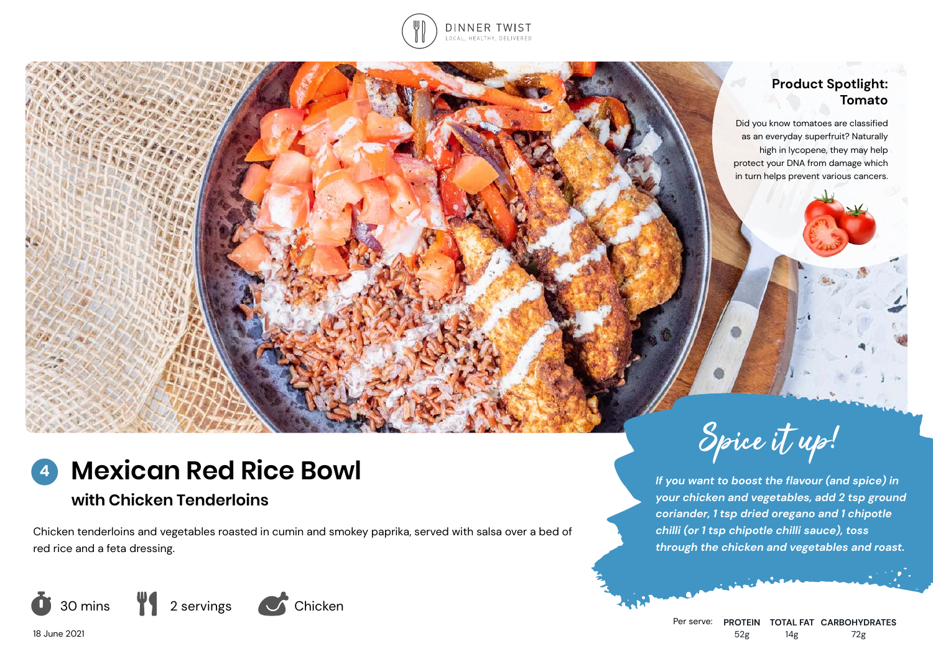

## **Product Spotlight: Tomato**

Did you know tomatoes are classified as an everyday superfruit? Naturally high in lycopene, they may help protect your DNA from damage which in turn helps prevent various cancers.

## **Mexican Red Rice Bowl 4**

# **with Chicken Tenderloins**

Chicken tenderloins and vegetables roasted in cumin and smokey paprika, served with salsa over a bed of red rice and a feta dressing.



Spice it up!

*If you want to boost the flavour (and spice) in your chicken and vegetables, add 2 tsp ground coriander, 1 tsp dried oregano and 1 chipotle chilli (or 1 tsp chipotle chilli sauce), toss through the chicken and vegetables and roast.*